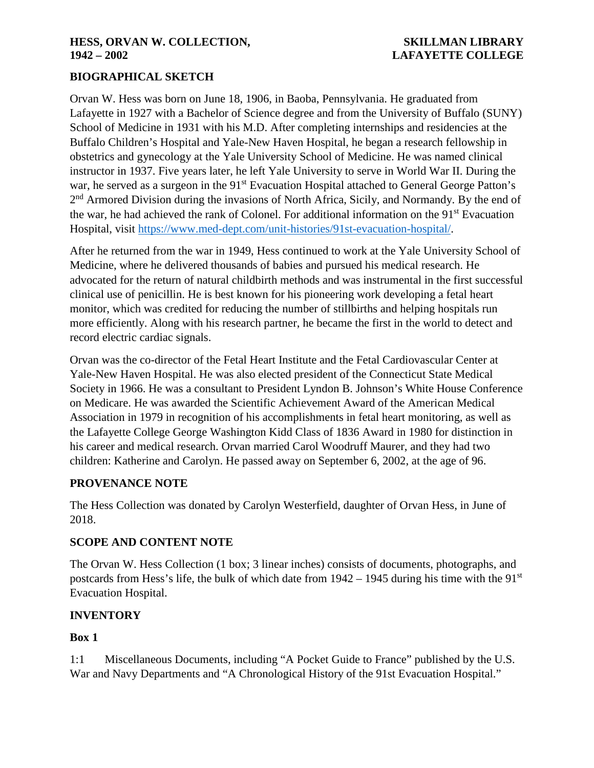### **HESS, ORVAN W. COLLECTION, SKILLMAN LIBRARY 1942 – 2002 LAFAYETTE COLLEGE**

## **BIOGRAPHICAL SKETCH**

Orvan W. Hess was born on June 18, 1906, in Baoba, Pennsylvania. He graduated from Lafayette in 1927 with a Bachelor of Science degree and from the University of Buffalo (SUNY) School of Medicine in 1931 with his M.D. After completing internships and residencies at the Buffalo Children's Hospital and Yale-New Haven Hospital, he began a research fellowship in obstetrics and gynecology at the Yale University School of Medicine. He was named clinical instructor in 1937. Five years later, he left Yale University to serve in World War II. During the war, he served as a surgeon in the 91<sup>st</sup> Evacuation Hospital attached to General George Patton's 2<sup>nd</sup> Armored Division during the invasions of North Africa, Sicily, and Normandy. By the end of the war, he had achieved the rank of Colonel. For additional information on the 91<sup>st</sup> Evacuation Hospital, visit [https://www.med-dept.com/unit-histories/91st-evacuation-hospital/.](https://www.med-dept.com/unit-histories/91st-evacuation-hospital/)

After he returned from the war in 1949, Hess continued to work at the Yale University School of Medicine, where he delivered thousands of babies and pursued his medical research. He advocated for the return of natural childbirth methods and was instrumental in the first successful clinical use of penicillin. He is best known for his pioneering work developing a fetal heart monitor, which was credited for reducing the number of stillbirths and helping hospitals run more efficiently. Along with his research partner, he became the first in the world to detect and record electric cardiac signals.

Orvan was the co-director of the Fetal Heart Institute and the Fetal Cardiovascular Center at Yale-New Haven Hospital. He was also elected president of the Connecticut State Medical Society in 1966. He was a consultant to President Lyndon B. Johnson's White House Conference on Medicare. He was awarded the Scientific Achievement Award of the American Medical Association in 1979 in recognition of his accomplishments in fetal heart monitoring, as well as the Lafayette College George Washington Kidd Class of 1836 Award in 1980 for distinction in his career and medical research. Orvan married Carol Woodruff Maurer, and they had two children: Katherine and Carolyn. He passed away on September 6, 2002, at the age of 96.

### **PROVENANCE NOTE**

The Hess Collection was donated by Carolyn Westerfield, daughter of Orvan Hess, in June of 2018.

### **SCOPE AND CONTENT NOTE**

The Orvan W. Hess Collection (1 box; 3 linear inches) consists of documents, photographs, and postcards from Hess's life, the bulk of which date from  $1942 - 1945$  during his time with the  $91<sup>st</sup>$ Evacuation Hospital.

### **INVENTORY**

### **Box 1**

1:1 Miscellaneous Documents, including "A Pocket Guide to France" published by the U.S. War and Navy Departments and "A Chronological History of the 91st Evacuation Hospital."